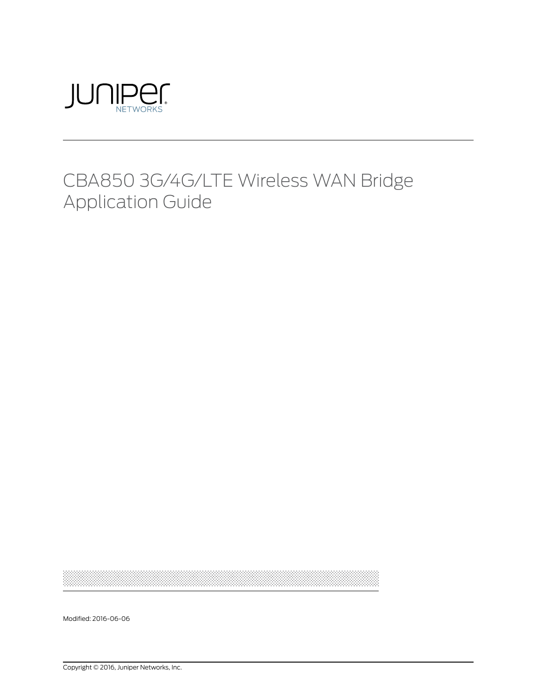

## CBA850 3G/4G/LTE Wireless WAN Bridge Application Guide

Modified: 2016-06-06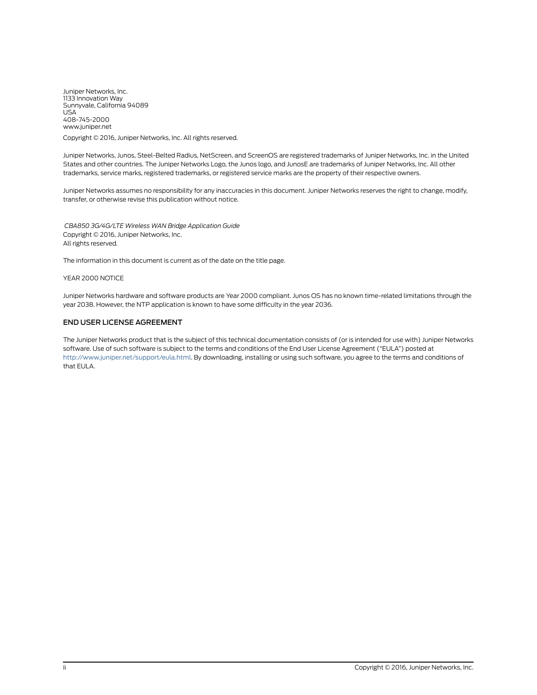Juniper Networks, Inc. 1133 Innovation Way Sunnyvale, California 94089 USA 408-745-2000 www.juniper.net

Copyright © 2016, Juniper Networks, Inc. All rights reserved.

Juniper Networks, Junos, Steel-Belted Radius, NetScreen, and ScreenOS are registered trademarks of Juniper Networks, Inc. in the United States and other countries. The Juniper Networks Logo, the Junos logo, and JunosE are trademarks of Juniper Networks, Inc. All other trademarks, service marks, registered trademarks, or registered service marks are the property of their respective owners.

Juniper Networks assumes no responsibility for any inaccuracies in this document. Juniper Networks reserves the right to change, modify, transfer, or otherwise revise this publication without notice.

*CBA850 3G/4G/LTE Wireless WAN Bridge Application Guide* Copyright © 2016, Juniper Networks, Inc. All rights reserved.

The information in this document is current as of the date on the title page.

#### YEAR 2000 NOTICE

Juniper Networks hardware and software products are Year 2000 compliant. Junos OS has no known time-related limitations through the year 2038. However, the NTP application is known to have some difficulty in the year 2036.

#### END USER LICENSE AGREEMENT

The Juniper Networks product that is the subject of this technical documentation consists of (or is intended for use with) Juniper Networks software. Use of such software is subject to the terms and conditions of the End User License Agreement ("EULA") posted at <http://www.juniper.net/support/eula.html>. By downloading, installing or using such software, you agree to the terms and conditions of that EULA.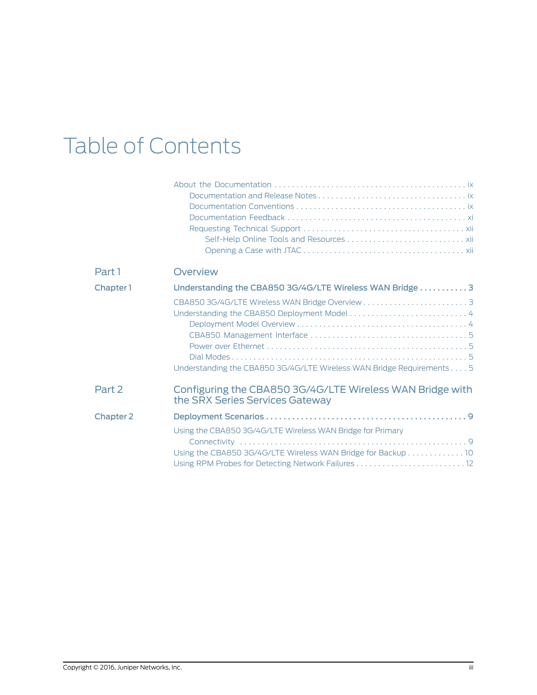## Table of Contents

| Part 1            | Overview                                                                                                                           |
|-------------------|------------------------------------------------------------------------------------------------------------------------------------|
| Chapter 1         | Understanding the CBA850 3G/4G/LTE Wireless WAN Bridge  3<br>Understanding the CBA850 3G/4G/LTE Wireless WAN Bridge Requirements 5 |
| Part <sub>2</sub> | Configuring the CBA850 3G/4G/LTE Wireless WAN Bridge with<br>the SRX Series Services Gateway                                       |
| <b>Chapter 2</b>  | Using the CBA850 3G/4G/LTE Wireless WAN Bridge for Primary<br>Using the CBA850 3G/4G/LTE Wireless WAN Bridge for Backup 10         |
|                   |                                                                                                                                    |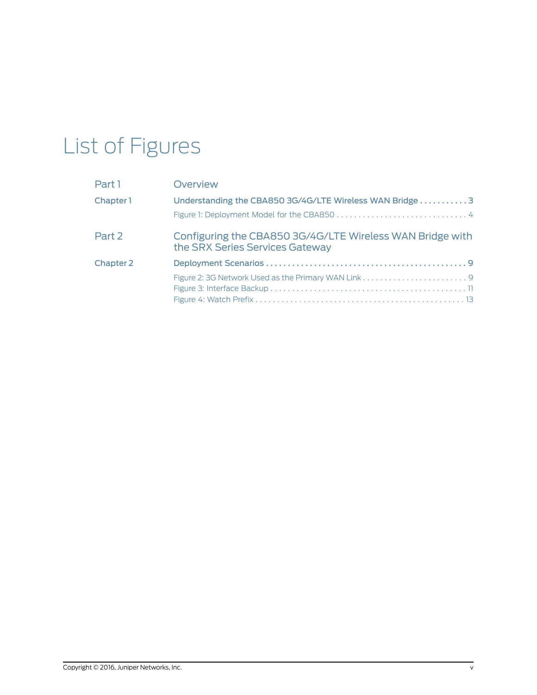# List of Figures

| Part 1    | Overview                                                                                     |
|-----------|----------------------------------------------------------------------------------------------|
| Chapter 1 | Understanding the CBA850 3G/4G/LTE Wireless WAN Bridge  3                                    |
|           |                                                                                              |
| Part 2    | Configuring the CBA850 3G/4G/LTE Wireless WAN Bridge with<br>the SRX Series Services Gateway |
| Chapter 2 |                                                                                              |
|           |                                                                                              |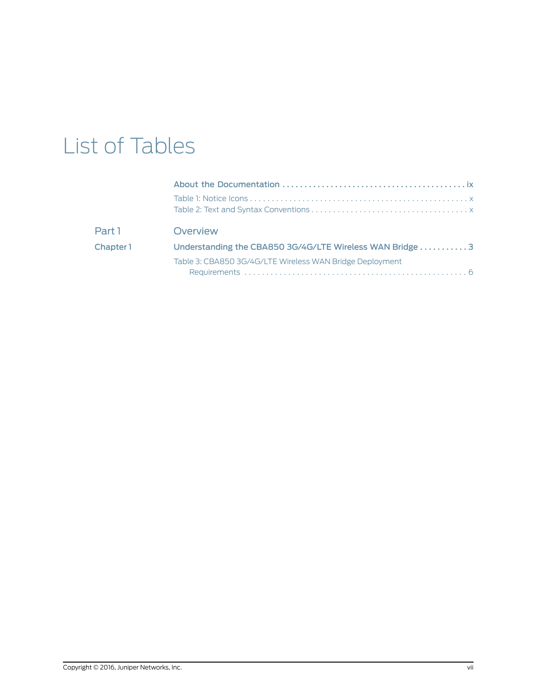## List of Tables

| Part 1    | Overview                                                  |
|-----------|-----------------------------------------------------------|
| Chapter 1 | Understanding the CBA850 3G/4G/LTE Wireless WAN Bridge  3 |
|           | Table 3: CBA850 3G/4G/LTE Wireless WAN Bridge Deployment  |
|           |                                                           |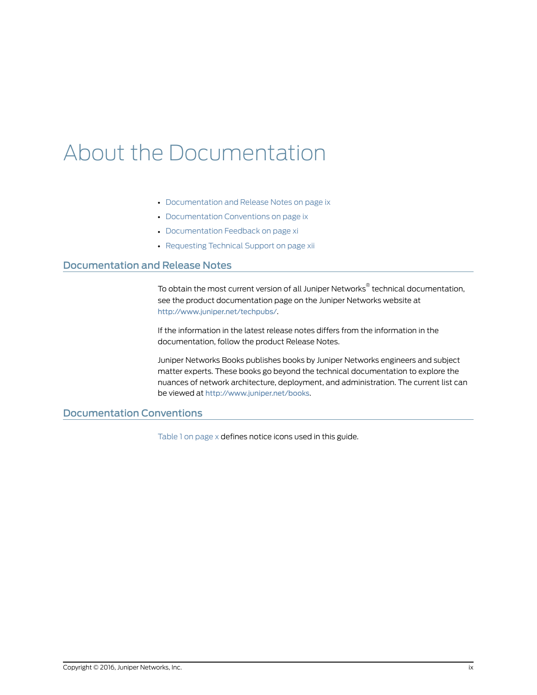## <span id="page-8-0"></span>About the Documentation

- [Documentation](#page-8-1) and Release Notes on [page](#page-8-1) ix
- [Documentation](#page-8-2) Conventions on [page](#page-8-2) ix
- [Documentation](#page-10-0) Feedback on [page](#page-10-0) xi
- [Requesting](#page-11-0) Technical Support on [page](#page-11-0) xii

#### <span id="page-8-1"></span>Documentation and Release Notes

To obtain the most current version of all Juniper Networks ® technical documentation, see the product documentation page on the Juniper Networks website at <http://www.juniper.net/techpubs/>.

If the information in the latest release notes differs from the information in the documentation, follow the product Release Notes.

Juniper Networks Books publishes books by Juniper Networks engineers and subject matter experts. These books go beyond the technical documentation to explore the nuances of network architecture, deployment, and administration. The current list can be viewed at <http://www.juniper.net/books>.

### <span id="page-8-2"></span>Documentation Conventions

[Table](#page-9-0) 1 on page x defines notice icons used in this guide.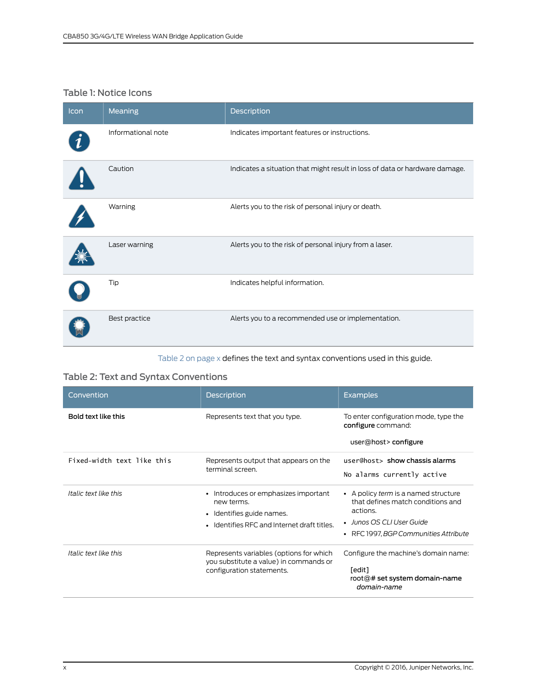### <span id="page-9-0"></span>Table 1: Notice Icons

| Icon | Meaning            | Description                                                                 |
|------|--------------------|-----------------------------------------------------------------------------|
|      | Informational note | Indicates important features or instructions.                               |
|      | Caution            | Indicates a situation that might result in loss of data or hardware damage. |
|      | Warning            | Alerts you to the risk of personal injury or death.                         |
|      | Laser warning      | Alerts you to the risk of personal injury from a laser.                     |
|      | Tip                | Indicates helpful information.                                              |
|      | Best practice      | Alerts you to a recommended use or implementation.                          |

#### <span id="page-9-1"></span>[Table](#page-9-1) 2 on page x defines the text and syntax conventions used in this guide.

### Table 2: Text and Syntax Conventions

| Convention                 | <b>Description</b>                                                                                                                        | <b>Examples</b>                                                                                                                                             |
|----------------------------|-------------------------------------------------------------------------------------------------------------------------------------------|-------------------------------------------------------------------------------------------------------------------------------------------------------------|
| Bold text like this        | Represents text that you type.                                                                                                            | To enter configuration mode, type the<br>configure command:<br>user@host>configure                                                                          |
| Fixed-width text like this | Represents output that appears on the<br>terminal screen.                                                                                 | user@host> show chassis alarms<br>No alarms currently active                                                                                                |
| Italic text like this      | Introduces or emphasizes important<br>$\bullet$<br>new terms.<br>• Identifies guide names.<br>• Identifies RFC and Internet draft titles. | • A policy term is a named structure<br>that defines match conditions and<br>actions.<br>• Junos OS CLI User Guide<br>• RFC 1997, BGP Communities Attribute |
| Italic text like this      | Represents variables (options for which<br>you substitute a value) in commands or<br>configuration statements.                            | Configure the machine's domain name:<br>[edit]<br>root@# set system domain-name<br>domain-name                                                              |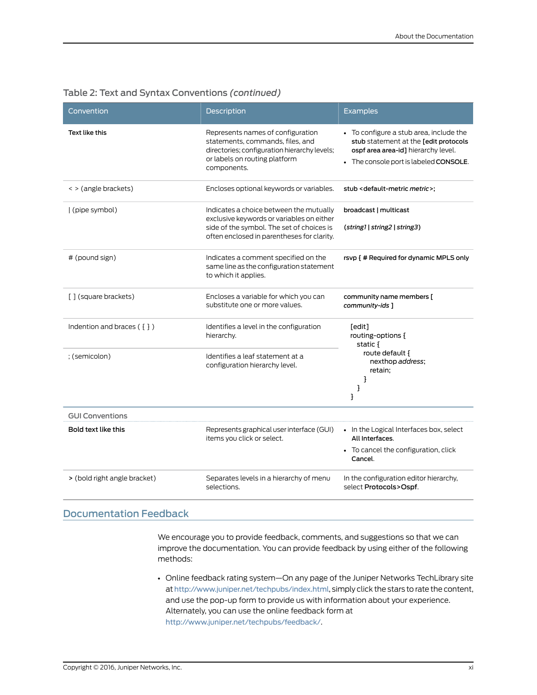| Convention                   | Description                                                                                                                                                                     | Examples                                                                                                                                                          |
|------------------------------|---------------------------------------------------------------------------------------------------------------------------------------------------------------------------------|-------------------------------------------------------------------------------------------------------------------------------------------------------------------|
| Text like this               | Represents names of configuration<br>statements, commands, files, and<br>directories; configuration hierarchy levels;<br>or labels on routing platform<br>components.           | • To configure a stub area, include the<br>stub statement at the [edit protocols<br>ospf area area-id] hierarchy level.<br>• The console port is labeled CONSOLE. |
| < > (angle brackets)         | Encloses optional keywords or variables.                                                                                                                                        | stub <default-metric metric="">;</default-metric>                                                                                                                 |
| (pipe symbol)                | Indicates a choice between the mutually<br>exclusive keywords or variables on either<br>side of the symbol. The set of choices is<br>often enclosed in parentheses for clarity. | broadcast   multicast<br>(string1   string2   string3)                                                                                                            |
| # (pound sign)               | Indicates a comment specified on the<br>same line as the configuration statement<br>to which it applies.                                                                        | rsvp { # Required for dynamic MPLS only                                                                                                                           |
| [] (square brackets)         | Encloses a variable for which you can<br>substitute one or more values.                                                                                                         | community name members [<br>community-ids ]                                                                                                                       |
| Indention and braces $(3)$   | Identifies a level in the configuration<br>hierarchy.                                                                                                                           | [edit]<br>routing-options {<br>static $\{$                                                                                                                        |
| ; (semicolon)                | Identifies a leaf statement at a<br>configuration hierarchy level.                                                                                                              | route default {<br>nexthop address;<br>retain;<br>3<br>}<br>}                                                                                                     |
| <b>GUI Conventions</b>       |                                                                                                                                                                                 |                                                                                                                                                                   |
| Bold text like this          | Represents graphical user interface (GUI)<br>items you click or select.                                                                                                         | • In the Logical Interfaces box, select<br>All Interfaces.<br>• To cancel the configuration, click<br>Cancel.                                                     |
| > (bold right angle bracket) | Separates levels in a hierarchy of menu<br>selections.                                                                                                                          | In the configuration editor hierarchy,<br>select Protocols>Ospf.                                                                                                  |

#### Table 2: Text and Syntax Conventions *(continued)*

### <span id="page-10-0"></span>Documentation Feedback

We encourage you to provide feedback, comments, and suggestions so that we can improve the documentation. You can provide feedback by using either of the following methods:

• Online feedback rating system—On any page of the Juniper Networks TechLibrary site at <http://www.juniper.net/techpubs/index.html>, simply click the stars to rate the content, and use the pop-up form to provide us with information about your experience. Alternately, you can use the online feedback form at <http://www.juniper.net/techpubs/feedback/>.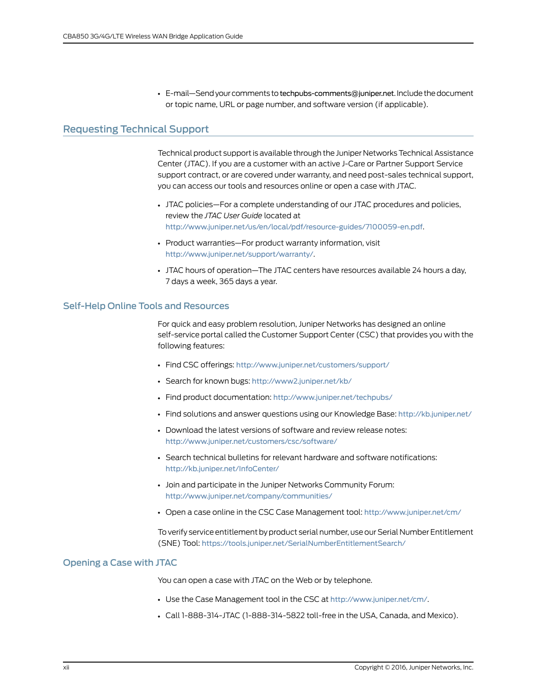• E-mail—Send your comments to [techpubs-comments@juniper.net](mailto:techpubs-comments@juniper.net?subject=). Include the document or topic name, URL or page number, and software version (if applicable).

#### <span id="page-11-0"></span>Requesting Technical Support

Technical product support is available through the Juniper NetworksTechnical Assistance Center (JTAC). If you are a customer with an active J-Care or Partner Support Service support contract, or are covered under warranty, and need post-sales technical support, you can access our tools and resources online or open a case with JTAC.

- JTAC policies—For a complete understanding of our JTAC procedures and policies, review the *JTAC User Guide* located at <http://www.juniper.net/us/en/local/pdf/resource-guides/7100059-en.pdf>.
- Product warranties—For product warranty information, visit <http://www.juniper.net/support/warranty/>.
- JTAC hours of operation—The JTAC centers have resources available 24 hours a day, 7 days a week, 365 days a year.

#### <span id="page-11-1"></span>Self-Help Online Tools and Resources

For quick and easy problem resolution, Juniper Networks has designed an online self-service portal called the Customer Support Center (CSC) that provides you with the following features:

- Find CSC offerings: <http://www.juniper.net/customers/support/>
- Search for known bugs: <http://www2.juniper.net/kb/>
- Find product documentation: <http://www.juniper.net/techpubs/>
- Find solutions and answer questions using our Knowledge Base: <http://kb.juniper.net/>
- Download the latest versions of software and review release notes: <http://www.juniper.net/customers/csc/software/>
- Search technical bulletins for relevant hardware and software notifications: <http://kb.juniper.net/InfoCenter/>
- Join and participate in the Juniper Networks Community Forum: <http://www.juniper.net/company/communities/>
- Open a case online in the CSC Case Management tool: <http://www.juniper.net/cm/>

To verify service entitlement by product serial number, use our Serial Number Entitlement (SNE) Tool: <https://tools.juniper.net/SerialNumberEntitlementSearch/>

#### <span id="page-11-2"></span>Opening a Case with JTAC

You can open a case with JTAC on the Web or by telephone.

- Use the Case Management tool in the CSC at <http://www.juniper.net/cm/>.
- Call 1-888-314-JTAC (1-888-314-5822 toll-free in the USA, Canada, and Mexico).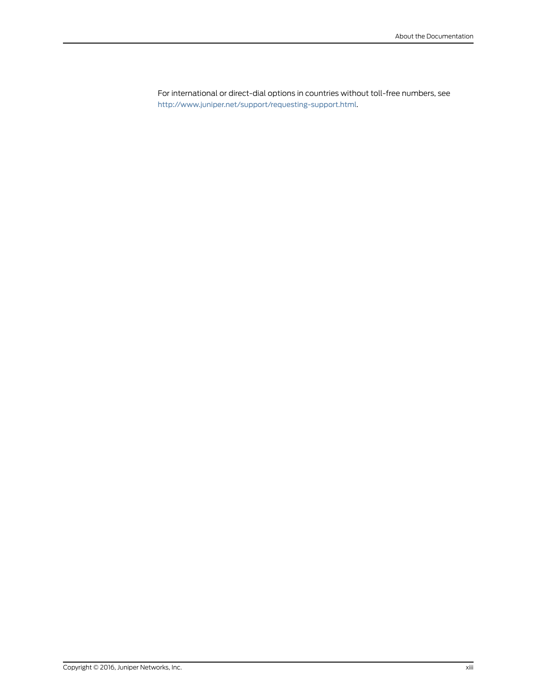For international or direct-dial options in countries without toll-free numbers, see <http://www.juniper.net/support/requesting-support.html>.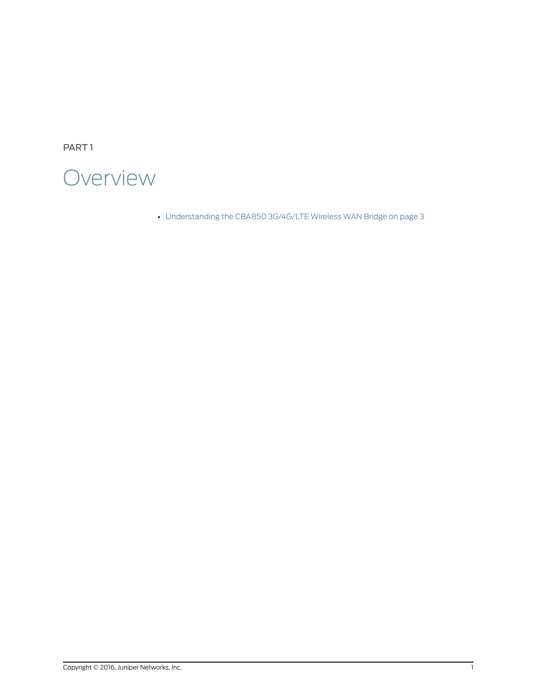<span id="page-14-0"></span>PART 1

## **Overview**

• [Understanding](#page-16-0) the CBA850 3G/4G/LTE Wireless WAN Bridge on [page](#page-16-0) 3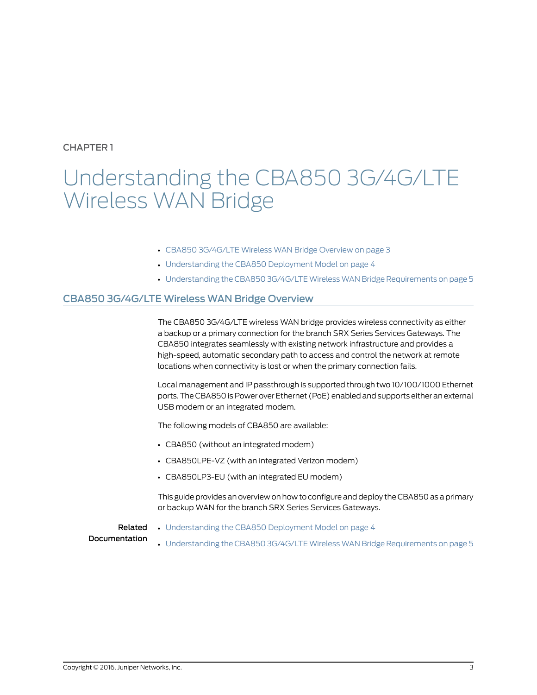### <span id="page-16-0"></span>CHAPTER 1

## Understanding the CBA850 3G/4G/LTE Wireless WAN Bridge

- CBA850 [3G/4G/LTE](#page-16-1) Wireless WAN Bridge Overview on [page](#page-16-1) 3
- [Understanding](#page-17-0) the CBA850 Deployment Model on [page](#page-17-0) 4
- [Understanding](#page-18-3) the CBA850 3G/4G/LTE Wireless WAN Bridge Requirements on [page](#page-18-3) 5

### <span id="page-16-1"></span>CBA850 3G/4G/LTE Wireless WAN Bridge Overview

The CBA850 3G/4G/LTE wireless WAN bridge provides wireless connectivity as either a backup or a primary connection for the branch SRX Series Services Gateways. The CBA850 integrates seamlessly with existing network infrastructure and provides a high-speed, automatic secondary path to access and control the network at remote locations when connectivity is lost or when the primary connection fails.

Local management and IP passthrough is supported through two 10/100/1000 Ethernet ports.The CBA850 is Power over Ethernet (PoE) enabled and supports either an external USB modem or an integrated modem.

The following models of CBA850 are available:

- CBA850 (without an integrated modem)
- CBA850LPE-VZ (with an integrated Verizon modem)
- CBA850LP3-EU (with an integrated EU modem)

This guide provides an overview on how to configure and deploy the CBA850 as a primary or backup WAN for the branch SRX Series Services Gateways.

Related Documentation

- [Understanding](#page-17-0) the CBA850 Deployment Model on page 4
- [Understanding](#page-18-3) the CBA850 3G/4G/LTE Wireless WAN Bridge Requirements on page 5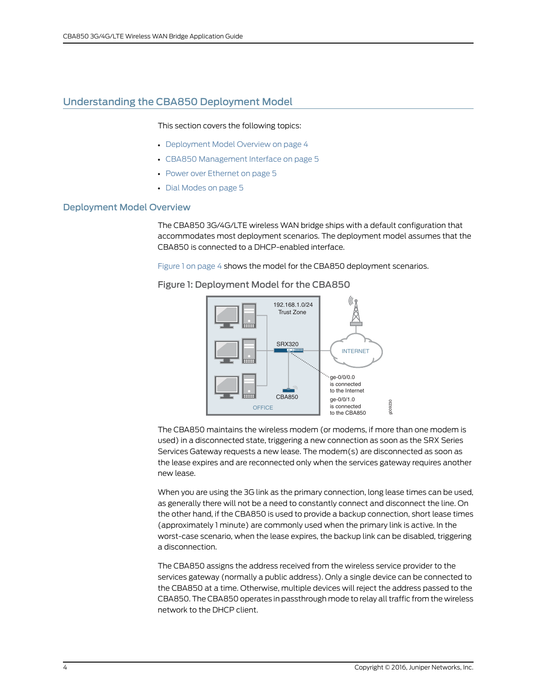## <span id="page-17-0"></span>Understanding the CBA850 Deployment Model

This section covers the following topics:

- [Deployment](#page-17-1) Model Overview on [page](#page-17-1) 4
- CBA850 [Management](#page-18-0) Interface on [page](#page-18-0) 5
- Power over [Ethernet](#page-18-1) on [page](#page-18-1) 5
- Dial [Modes](#page-18-2) on [page](#page-18-2) 5

#### <span id="page-17-1"></span>Deployment Model Overview

The CBA850 3G/4G/LTE wireless WAN bridge ships with a default configuration that accommodates most deployment scenarios. The deployment model assumes that the CBA850 is connected to a DHCP-enabled interface.

<span id="page-17-2"></span>[Figure](#page-17-2) 1 on page 4 shows the model for the CBA850 deployment scenarios.

Figure 1: Deployment Model for the CBA850



The CBA850 maintains the wireless modem (or modems, if more than one modem is used) in a disconnected state, triggering a new connection as soon as the SRX Series Services Gateway requests a new lease. The modem(s) are disconnected as soon as the lease expires and are reconnected only when the services gateway requires another new lease.

When you are using the 3G link as the primary connection, long lease times can be used, as generally there will not be a need to constantly connect and disconnect the line. On the other hand, if the CBA850 is used to provide a backup connection, short lease times (approximately 1 minute) are commonly used when the primary link is active. In the worst-case scenario, when the lease expires, the backup link can be disabled, triggering a disconnection.

The CBA850 assigns the address received from the wireless service provider to the services gateway (normally a public address). Only a single device can be connected to the CBA850 at a time. Otherwise, multiple devices will reject the address passed to the CBA850. The CBA850 operates in passthrough mode to relay all traffic from the wireless network to the DHCP client.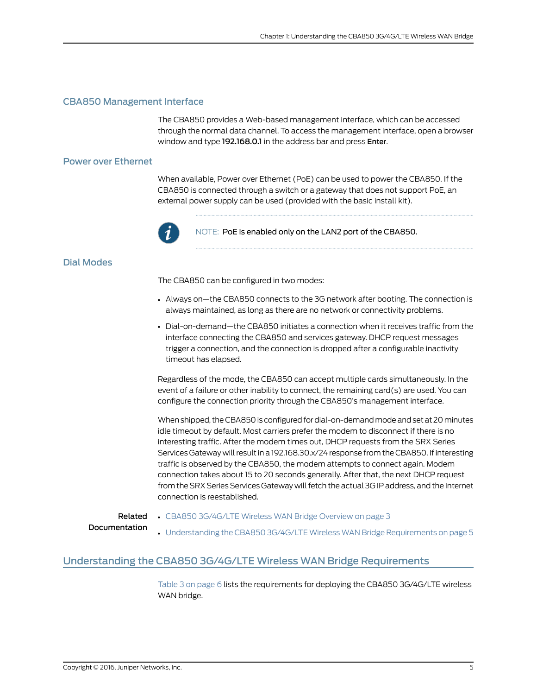#### <span id="page-18-0"></span>CBA850 Management Interface

The CBA850 provides a Web-based management interface, which can be accessed through the normal data channel. To access the management interface, open a browser window and type 192.168.0.1 in the address bar and press Enter.

#### <span id="page-18-1"></span>Power over Ethernet

When available, Power over Ethernet (PoE) can be used to power the CBA850. If the CBA850 is connected through a switch or a gateway that does not support PoE, an external power supply can be used (provided with the basic install kit).



NOTE: PoE is enabled only on the LAN2 port of the CBA850.

#### <span id="page-18-2"></span>Dial Modes

The CBA850 can be configured in two modes:

- Always on—the CBA850 connects to the 3G network after booting. The connection is always maintained, as long as there are no network or connectivity problems.
- Dial-on-demand—the CBA850 initiates a connection when it receives traffic from the interface connecting the CBA850 and services gateway. DHCP request messages trigger a connection, and the connection is dropped after a configurable inactivity timeout has elapsed.

Regardless of the mode, the CBA850 can accept multiple cards simultaneously. In the event of a failure or other inability to connect, the remaining card(s) are used. You can configure the connection priority through the CBA850's management interface.

When shipped, the CBA850 is configured for dial-on-demand mode and set at 20 minutes idle timeout by default. Most carriers prefer the modem to disconnect if there is no interesting traffic. After the modem times out, DHCP requests from the SRX Series Services Gateway will result in a 192.168.30.x/24 response from the CBA850. If interesting traffic is observed by the CBA850, the modem attempts to connect again. Modem connection takes about 15 to 20 seconds generally. After that, the next DHCP request fromthe SRX Series Services Gateway willfetch the actual 3G IP address, and the Internet connection is reestablished.

<span id="page-18-3"></span>Related Documentation

- CBA850 [3G/4G/LTE](#page-16-1) Wireless WAN Bridge Overview on page 3
- [Understanding](#page-18-3) the CBA850 3G/4G/LTE Wireless WAN Bridge Requirements on page 5

#### Understanding the CBA850 3G/4G/LTE Wireless WAN Bridge Requirements

[Table](#page-19-0) 3 on page 6 lists the requirements for deploying the CBA850 3G/4G/LTE wireless WAN bridge.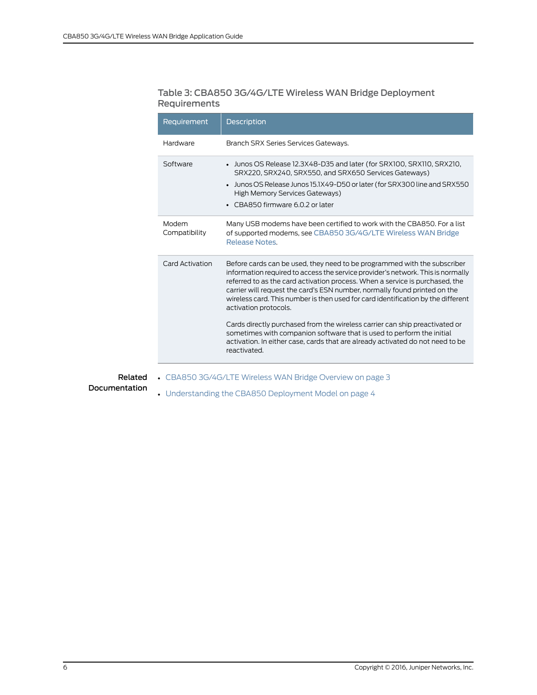### <span id="page-19-0"></span>Table 3: CBA850 3G/4G/LTE Wireless WAN Bridge Deployment **Requirements**

| Requirement                                                      | <b>Description</b>                                                                                                                                                                                                                                                                                                                                                                                                                                                                                                                                                                                                                                                                              |  |
|------------------------------------------------------------------|-------------------------------------------------------------------------------------------------------------------------------------------------------------------------------------------------------------------------------------------------------------------------------------------------------------------------------------------------------------------------------------------------------------------------------------------------------------------------------------------------------------------------------------------------------------------------------------------------------------------------------------------------------------------------------------------------|--|
| Hardware                                                         | Branch SRX Series Services Gateways.                                                                                                                                                                                                                                                                                                                                                                                                                                                                                                                                                                                                                                                            |  |
| Software                                                         | • Junos OS Release 12.3X48-D35 and later (for SRX100, SRX110, SRX210,<br>SRX220, SRX240, SRX550, and SRX650 Services Gateways)<br>Junos OS Release Junos 15.1X49-D50 or later (for SRX300 line and SRX550<br>$\bullet$<br><b>High Memory Services Gateways)</b><br>CBA850 firmware 6.0.2 or later                                                                                                                                                                                                                                                                                                                                                                                               |  |
| Modem<br>Compatibility                                           | Many USB modems have been certified to work with the CBA850. For a list<br>of supported modems, see CBA850 3G/4G/LTE Wireless WAN Bridge<br>Release Notes.                                                                                                                                                                                                                                                                                                                                                                                                                                                                                                                                      |  |
| Card Activation                                                  | Before cards can be used, they need to be programmed with the subscriber<br>information required to access the service provider's network. This is normally<br>referred to as the card activation process. When a service is purchased, the<br>carrier will request the card's ESN number, normally found printed on the<br>wireless card. This number is then used for card identification by the different<br>activation protocols.<br>Cards directly purchased from the wireless carrier can ship preactivated or<br>sometimes with companion software that is used to perform the initial<br>activation. In either case, cards that are already activated do not need to be<br>reactivated. |  |
| $CDA OED 2C UCL T T VUirolace (M/AN) Pridae Qvariou (on nonno 2$ |                                                                                                                                                                                                                                                                                                                                                                                                                                                                                                                                                                                                                                                                                                 |  |

Related • CBA850 [3G/4G/LTE](#page-16-1) Wireless WAN Bridge Overview on page 3

Documentation

• [Understanding](#page-17-0) the CBA850 Deployment Model on page 4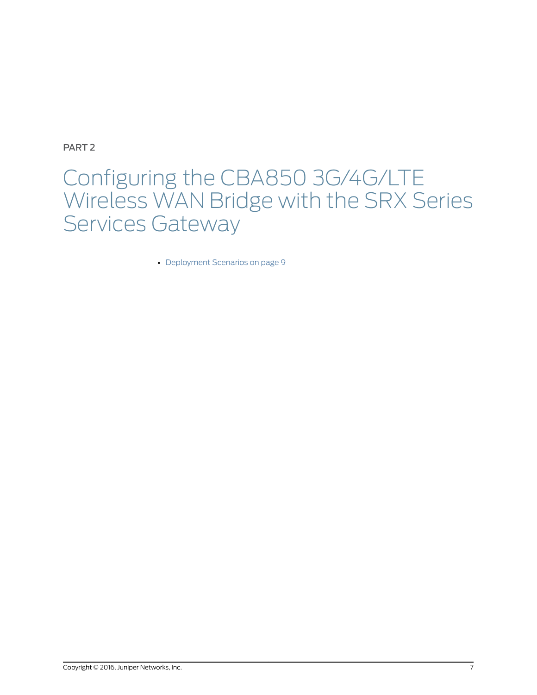<span id="page-20-0"></span>PART 2

## Configuring the CBA850 3G/4G/LTE Wireless WAN Bridge with the SRX Series Services Gateway

• [Deployment](#page-22-0) Scenarios on [page](#page-22-0) 9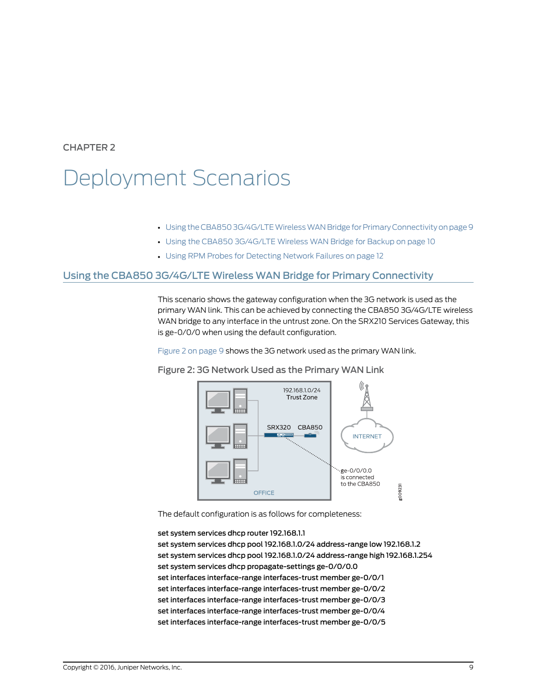### <span id="page-22-0"></span>CHAPTER 2

## Deployment Scenarios

- Using the CBA850 3G/4G/LTE Wireless WAN Bridge for Primary Connectivity on page 9
- Using the CBA850 [3G/4G/LTE](#page-23-0) Wireless WAN Bridge for Backup on [page](#page-23-0) 10
- Using RPM Probes for [Detecting](#page-25-0) Network Failures on [page](#page-25-0) 12

### <span id="page-22-1"></span>Using the CBA850 3G/4G/LTE Wireless WAN Bridge for Primary Connectivity

This scenario shows the gateway configuration when the 3G network is used as the primary WAN link. This can be achieved by connecting the CBA850 3G/4G/LTE wireless WAN bridge to any interface in the untrust zone. On the SRX210 Services Gateway, this is ge-0/0/0 when using the default configuration.

<span id="page-22-2"></span>[Figure](#page-22-2) 2 on page 9 shows the 3G network used as the primary WAN link.



Figure 2: 3G Network Used as the Primary WAN Link

The default configuration is as follows for completeness:

set system services dhcp router 192.168.1.1 set system services dhcp pool 192.168.1.0/24 address-range low 192.168.1.2 set system services dhcp pool 192.168.1.0/24 address-range high 192.168.1.254 set system services dhcp propagate-settings ge-0/0/0.0 set interfaces interface-range interfaces-trust member ge-0/0/1 set interfaces interface-range interfaces-trust member ge-0/0/2 set interfaces interface-range interfaces-trust member ge-0/0/3 set interfaces interface-range interfaces-trust member ge-0/0/4 set interfaces interface-range interfaces-trust member ge-0/0/5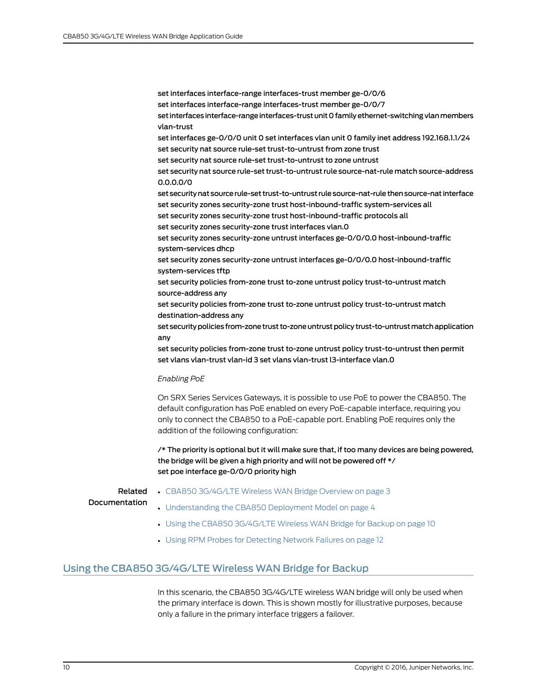set interfaces interface-range interfaces-trust member ge-0/0/6 set interfaces interface-range interfaces-trust member ge-0/0/7 set interfaces interface-range interfaces-trust unit 0 family ethernet-switching vlan members vlan-trust set interfaces ge-0/0/0 unit 0 set interfaces vlan unit 0 family inet address 192.168.1.1/24 set security nat source rule-set trust-to-untrust from zone trust set security nat source rule-set trust-to-untrust to zone untrust set security nat source rule-set trust-to-untrust rule source-nat-rule match source-address 0.0.0.0/0 set security nat source rule-set trust-to-untrust rule source-nat-rule then source-nat interface set security zones security-zone trust host-inbound-traffic system-services all set security zones security-zone trust host-inbound-traffic protocols all set security zones security-zone trust interfaces vlan.0 set security zones security-zone untrust interfaces ge-0/0/0.0 host-inbound-traffic system-services dhcp set security zones security-zone untrust interfaces ge-0/0/0.0 host-inbound-traffic system-services tftp set security policies from-zone trust to-zone untrust policy trust-to-untrust match source-address any set security policies from-zone trust to-zone untrust policy trust-to-untrust match destination-address any set security policies from-zone trust to-zone untrust policy trust-to-untrust match application any set security policies from-zone trust to-zone untrust policy trust-to-untrust then permit set vlans vlan-trust vlan-id 3 set vlans vlan-trust l3-interface vlan.0 *Enabling PoE*

On SRX Series Services Gateways, it is possible to use PoE to power the CBA850. The default configuration has PoE enabled on every PoE-capable interface, requiring you only to connect the CBA850 to a PoE-capable port. Enabling PoE requires only the addition of the following configuration:

/\* The priority is optional but it will make sure that, if too many devices are being powered, the bridge will be given a high priority and will not be powered off \*/ set poe interface ge-0/0/0 priority high

## Related

- CBA850 [3G/4G/LTE](#page-16-1) Wireless WAN Bridge Overview on page 3
- <span id="page-23-0"></span>Documentation
- - [Understanding](#page-17-0) the CBA850 Deployment Model on page 4
	- Using the CBA850 [3G/4G/LTE](#page-23-0) Wireless WAN Bridge for Backup on page 10
	- Using RPM Probes for [Detecting](#page-25-0) Network Failures on page 12

### Using the CBA850 3G/4G/LTE Wireless WAN Bridge for Backup

In this scenario, the CBA850 3G/4G/LTE wireless WAN bridge will only be used when the primary interface is down. This is shown mostly for illustrative purposes, because only a failure in the primary interface triggers a failover.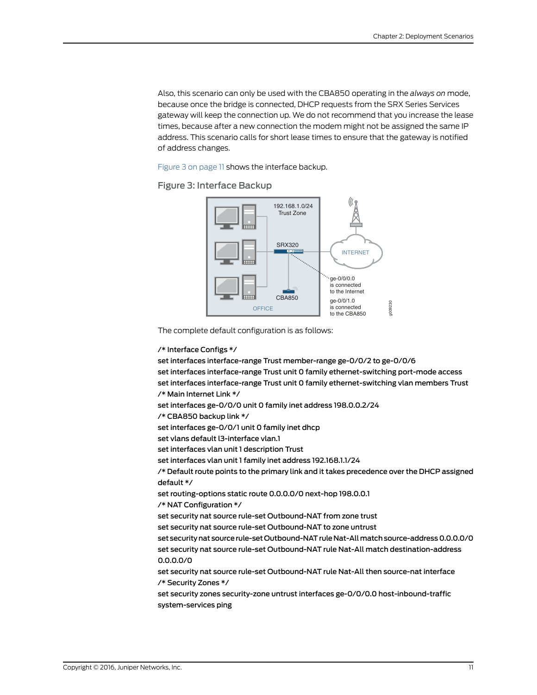Also, this scenario can only be used with the CBA850 operating in the *always on* mode, because once the bridge is connected, DHCP requests from the SRX Series Services gateway will keep the connection up. We do not recommend that you increase the lease times, because after a new connection the modem might not be assigned the same IP address. This scenario calls for short lease times to ensure that the gateway is notified of address changes.

<span id="page-24-0"></span>[Figure](#page-24-0) 3 on page 11 shows the interface backup.

Figure 3: Interface Backup



The complete default configuration is as follows:

#### /\* Interface Configs \*/

set interfaces interface-range Trust member-range ge-0/0/2 to ge-0/0/6 set interfaces interface-range Trust unit 0 family ethernet-switching port-mode access set interfaces interface-range Trust unit 0 family ethernet-switching vlan members Trust /\* Main Internet Link \*/ set interfaces ge-0/0/0 unit 0 family inet address 198.0.0.2/24 /\* CBA850 backup link \*/ set interfaces ge-0/0/1 unit 0 family inet dhcp set vlans default l3-interface vlan.1 set interfaces vlan unit 1 description Trust set interfaces vlan unit 1 family inet address 192.168.1.1/24 /\* Default route points to the primary link and it takes precedence over the DHCP assigned default \*/ set routing-options static route 0.0.0.0/0 next-hop 198.0.0.1 /\* NAT Configuration \*/ set security nat source rule-set Outbound-NAT from zone trust set security nat source rule-set Outbound-NAT to zone untrust set securitynat source rule-set Outbound-NATrule Nat-Allmatchsource-address 0.0.0.0/0 set security nat source rule-set Outbound-NAT rule Nat-All match destination-address 0.0.0.0/0 set security nat source rule-set Outbound-NAT rule Nat-All then source-nat interface /\* Security Zones \*/ set security zones security-zone untrust interfaces ge-0/0/0.0 host-inbound-traffic system-services ping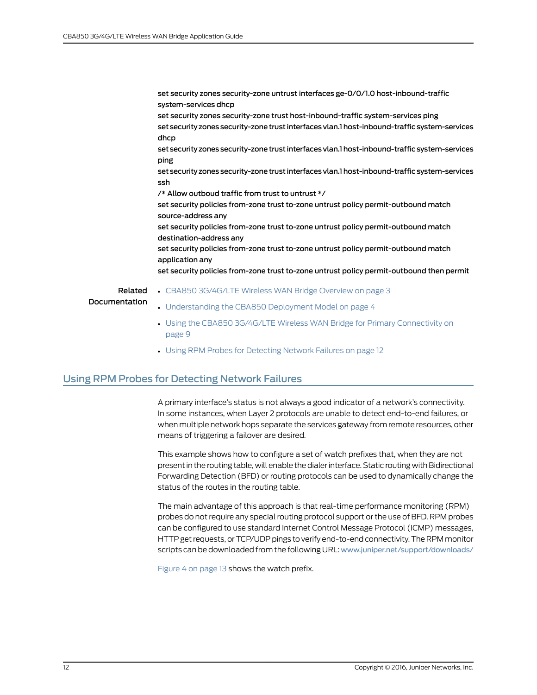set security zones security-zone untrust interfaces ge-0/0/1.0 host-inbound-traffic system-services dhcp set security zones security-zone trust host-inbound-traffic system-services ping set security zones security-zone trust interfaces vlan.1host-inbound-traffic system-services dhcp set security zones security-zone trust interfaces vlan.1host-inbound-traffic system-services ping set security zones security-zone trust interfaces vlan.1host-inbound-traffic system-services ssh /\* Allow outboud traffic from trust to untrust \*/ set security policies from-zone trust to-zone untrust policy permit-outbound match source-address any set security policies from-zone trust to-zone untrust policy permit-outbound match destination-address any set security policies from-zone trust to-zone untrust policy permit-outbound match application any

set security policies from-zone trust to-zone untrust policy permit-outbound then permit

### Related

- CBA850 [3G/4G/LTE](#page-16-1) Wireless WAN Bridge Overview on page 3
- Documentation
	- [Understanding](#page-17-0) the CBA850 Deployment Model on page 4
	- Using the CBA850 3G/4G/LTE Wireless WAN Bridge for Primary [Connectivity](#page-22-1) on [page](#page-22-1) 9
	- Using RPM Probes for [Detecting](#page-25-0) Network Failures on page 12

### <span id="page-25-0"></span>Using RPM Probes for Detecting Network Failures

A primary interface's status is not always a good indicator of a network's connectivity. In some instances, when Layer 2 protocols are unable to detect end-to-end failures, or when multiple network hops separate the services gateway from remote resources, other means of triggering a failover are desired.

This example shows how to configure a set of watch prefixes that, when they are not present in the routing table, will enable the dialerinterface. Static routing with Bidirectional Forwarding Detection (BFD) or routing protocols can be used to dynamically change the status of the routes in the routing table.

The main advantage of this approach is that real-time performance monitoring (RPM) probes do not require any special routing protocol support or the use of BFD. RPM probes can be configured to use standard Internet Control Message Protocol (ICMP) messages, HTTP get requests, or TCP/UDP pings to verify end-to-end connectivity. The RPM monitor scripts can be downloaded from the following URL: [www.juniper.net/support/downloads/](http://www.juniper.net/support/downloads/)

[Figure](#page-26-0) 4 on page 13 shows the watch prefix.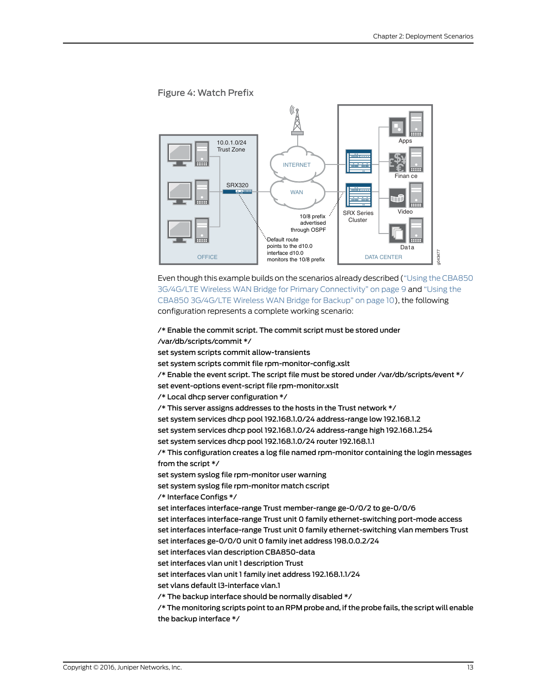

Even though this example builds on the scenarios already described ("Using the [CBA850](#page-22-1) 3G/4G/LTE Wireless WAN Bridge for Primary [Connectivity"](#page-22-1) on page 9 and ["Using](#page-23-0) the CBA850 [3G/4G/LTE](#page-23-0) Wireless WAN Bridge for Backup" on page 10), the following configuration represents a complete working scenario:

/\* Enable the commit script. The commit script must be stored under /var/db/scripts/commit \*/ set system scripts commit allow-transients set system scripts commit file rpm-monitor-config.xslt /\* Enable the event script. The script file must be stored under /var/db/scripts/event \*/ set event-options event-script file rpm-monitor.xslt /\* Local dhcp server configuration \*/ /\* This server assigns addresses to the hosts in the Trust network \*/ set system services dhcp pool 192.168.1.0/24 address-range low 192.168.1.2 set system services dhcp pool 192.168.1.0/24 address-range high 192.168.1.254 set system services dhcp pool 192.168.1.0/24 router 192.168.1.1 /\* This configuration creates a log file named rpm-monitor containing the login messages from the script \*/ set system syslog file rpm-monitor user warning set system syslog file rpm-monitor match cscript /\* Interface Configs \*/ set interfaces interface-range Trust member-range ge-0/0/2 to ge-0/0/6 set interfaces interface-range Trust unit 0 family ethernet-switching port-mode access set interfaces interface-range Trust unit 0 family ethernet-switching vlan members Trust set interfaces ge-0/0/0 unit 0 family inet address 198.0.0.2/24 set interfaces vlan description CBA850-data set interfaces vlan unit 1 description Trust set interfaces vlan unit 1 family inet address 192.168.1.1/24 set vlans default l3-interface vlan.1 /\* The backup interface should be normally disabled \*/ /\* The monitoring scripts point to an RPM probe and, if the probe fails, the script will enable the backup interface \*/

#### <span id="page-26-0"></span>Figure 4: Watch Prefix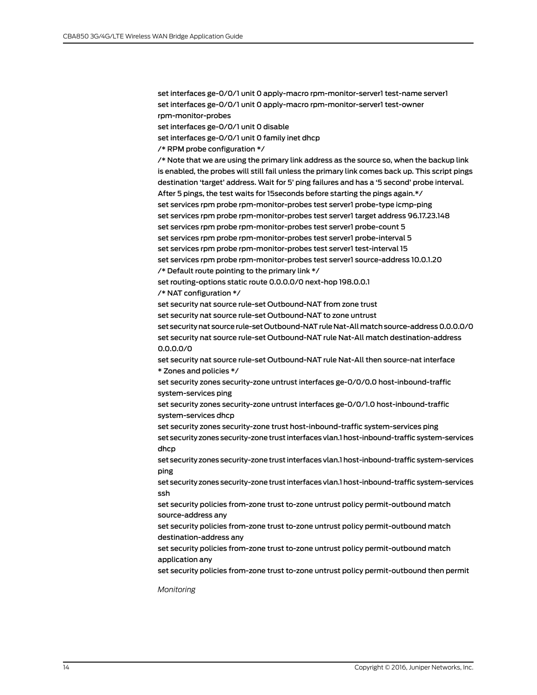set interfaces ge-0/0/1 unit 0 apply-macro rpm-monitor-server1 test-name server1 set interfaces ge-0/0/1 unit 0 apply-macro rpm-monitor-server1 test-owner rpm-monitor-probes

set interfaces ge-0/0/1 unit 0 disable

set interfaces ge-0/0/1 unit 0 family inet dhcp

/\* RPM probe configuration \*/

/\* Note that we are using the primary link address as the source so, when the backup link is enabled, the probes will still fail unless the primary link comes back up. This script pings destination 'target' address. Wait for 5' ping failures and has a '5 second' probe interval. After 5 pings, the test waits for 15seconds before starting the pings again.\*/ set services rpm probe rpm-monitor-probes test server1 probe-type icmp-ping set services rpm probe rpm-monitor-probes test server1 target address 96.17.23.148 set services rpm probe rpm-monitor-probes test server1 probe-count 5 set services rpm probe rpm-monitor-probes test server1 probe-interval 5 set services rpm probe rpm-monitor-probes test server1 test-interval 15 set services rpm probe rpm-monitor-probes test server1 source-address 10.0.1.20 /\* Default route pointing to the primary link \*/

set routing-options static route 0.0.0.0/0 next-hop 198.0.0.1

/\* NAT configuration \*/

set security nat source rule-set Outbound-NAT from zone trust set security nat source rule-set Outbound-NAT to zone untrust set securitynat source rule-set Outbound-NATrule Nat-Allmatchsource-address 0.0.0.0/0 set security nat source rule-set Outbound-NAT rule Nat-All match destination-address 0.0.0.0/0

set security nat source rule-set Outbound-NAT rule Nat-All then source-nat interface \* Zones and policies \*/

set security zones security-zone untrust interfaces ge-0/0/0.0 host-inbound-traffic system-services ping

set security zones security-zone untrust interfaces ge-0/0/1.0 host-inbound-traffic system-services dhcp

set security zones security-zone trust host-inbound-traffic system-services ping set security zones security-zone trust interfaces vlan.1host-inbound-traffic system-services dhcp

set security zones security-zone trust interfaces vlan.1host-inbound-traffic system-services ping

set security zones security-zone trust interfaces vlan.1host-inbound-traffic system-services ssh

set security policies from-zone trust to-zone untrust policy permit-outbound match source-address any

set security policies from-zone trust to-zone untrust policy permit-outbound match destination-address any

set security policies from-zone trust to-zone untrust policy permit-outbound match application any

set security policies from-zone trust to-zone untrust policy permit-outbound then permit

*Monitoring*